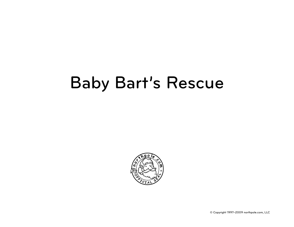## Baby Bart's Rescue



© Copyright 1997–2009 northpole.com, LLC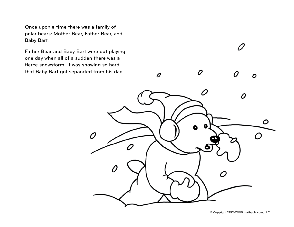Once upon a time there was a family of polar bears: Mother Bear, Father Bear, and Baby Bart.

Father Bear and Baby Bart were out playing one day when all of a sudden there was a fierce snowstorm. It was snowing so hard that Baby Bart got separated from his dad.

 $\boldsymbol{\rho}$ Ω O O Ω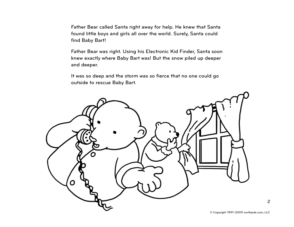Father Bear called Santa right away for help. He knew that Santa found little boys and girls all over the world. Surely, Santa could find Baby Bart!

Father Bear was right. Using his Electronic Kid Finder, Santa soon knew exactly where Baby Bart was! But the snow piled up deeper and deeper.

It was so deep and the storm was so fierce that no one could go outside to rescue Baby Bart.



2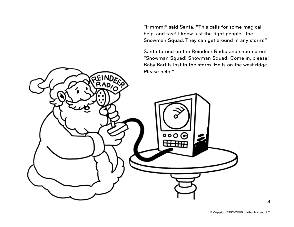"Hmmm!" said Santa. "This calls for some magical help, and fast! I know just the right people—the Snowman Squad. They can get around in any storm!"

Santa turned on the Reindeer Radio and shouted out, "Snowman Squad! Snowman Squad! Come in, please! Baby Bart is lost in the storm. He is on the west ridge. Please help!"

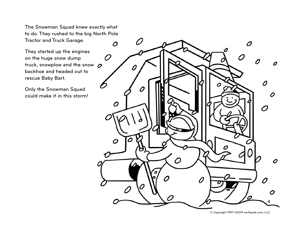The Snowman Squad knew exactly what to do. They rushed to the big North Pole Tractor and Truck Garage.

They started up the engines on the huge snow dump truck, snowplow and the snow  $\sigma$ backhoe and headed out to rescue Baby Bart.

Only the Snowman Squad could make it in this storm!

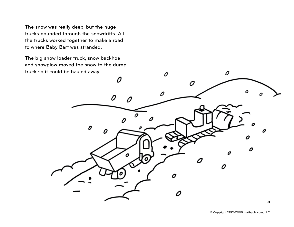The snow was really deep, but the huge trucks pounded through the snowdrifts. All the trucks worked together to make a road to where Baby Bart was stranded.

The big snow loader truck, snow backhoe and snowplow moved the snow to the dump truck so it could be hauled away.